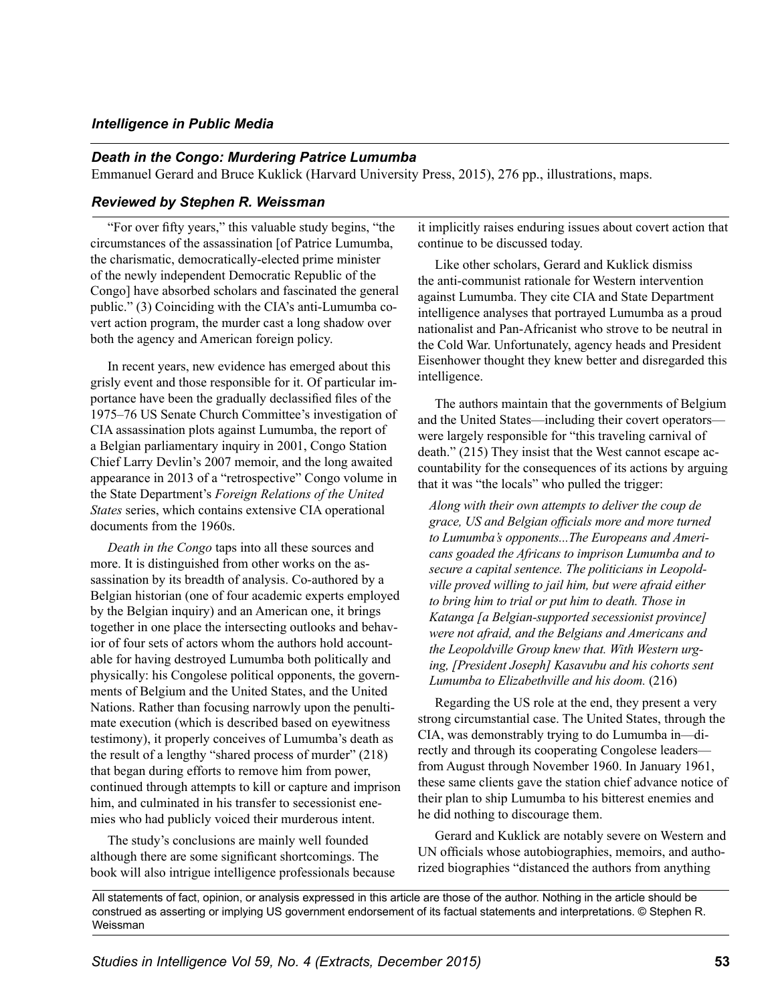## *Intelligence in Public Media*

## *Death in the Congo: Murdering Patrice Lumumba*

Emmanuel Gerard and Bruce Kuklick (Harvard University Press, 2015), 276 pp., illustrations, maps.

## *Reviewed by Stephen R. Weissman*

"For over fifty years," this valuable study begins, "the circumstances of the assassination [of Patrice Lumumba, the charismatic, democratically-elected prime minister of the newly independent Democratic Republic of the Congo] have absorbed scholars and fascinated the general public." (3) Coinciding with the CIA's anti-Lumumba covert action program, the murder cast a long shadow over both the agency and American foreign policy.

In recent years, new evidence has emerged about this grisly event and those responsible for it. Of particular importance have been the gradually declassified files of the 1975–76 US Senate Church Committee's investigation of CIA assassination plots against Lumumba, the report of a Belgian parliamentary inquiry in 2001, Congo Station Chief Larry Devlin's 2007 memoir, and the long awaited appearance in 2013 of a "retrospective" Congo volume in the State Department's *Foreign Relations of the United States* series, which contains extensive CIA operational documents from the 1960s.

*Death in the Congo* taps into all these sources and more. It is distinguished from other works on the assassination by its breadth of analysis. Co-authored by a Belgian historian (one of four academic experts employed by the Belgian inquiry) and an American one, it brings together in one place the intersecting outlooks and behavior of four sets of actors whom the authors hold accountable for having destroyed Lumumba both politically and physically: his Congolese political opponents, the governments of Belgium and the United States, and the United Nations. Rather than focusing narrowly upon the penultimate execution (which is described based on eyewitness testimony), it properly conceives of Lumumba's death as the result of a lengthy "shared process of murder" (218) that began during efforts to remove him from power, continued through attempts to kill or capture and imprison him, and culminated in his transfer to secessionist enemies who had publicly voiced their murderous intent.

The study's conclusions are mainly well founded although there are some significant shortcomings. The book will also intrigue intelligence professionals because it implicitly raises enduring issues about covert action that continue to be discussed today.

Like other scholars, Gerard and Kuklick dismiss the anti-communist rationale for Western intervention against Lumumba. They cite CIA and State Department intelligence analyses that portrayed Lumumba as a proud nationalist and Pan-Africanist who strove to be neutral in the Cold War. Unfortunately, agency heads and President Eisenhower thought they knew better and disregarded this intelligence.

The authors maintain that the governments of Belgium and the United States—including their covert operators were largely responsible for "this traveling carnival of death." (215) They insist that the West cannot escape accountability for the consequences of its actions by arguing that it was "the locals" who pulled the trigger:

*Along with their own attempts to deliver the coup de grace, US and Belgian officials more and more turned to Lumumba's opponents...The Europeans and Americans goaded the Africans to imprison Lumumba and to secure a capital sentence. The politicians in Leopoldville proved willing to jail him, but were afraid either to bring him to trial or put him to death. Those in Katanga [a Belgian-supported secessionist province] were not afraid, and the Belgians and Americans and the Leopoldville Group knew that. With Western urging, [President Joseph] Kasavubu and his cohorts sent Lumumba to Elizabethville and his doom.* (216)

Regarding the US role at the end, they present a very strong circumstantial case. The United States, through the CIA, was demonstrably trying to do Lumumba in—directly and through its cooperating Congolese leaders from August through November 1960. In January 1961, these same clients gave the station chief advance notice of their plan to ship Lumumba to his bitterest enemies and he did nothing to discourage them.

Gerard and Kuklick are notably severe on Western and UN officials whose autobiographies, memoirs, and authorized biographies "distanced the authors from anything

All statements of fact, opinion, or analysis expressed in this article are those of the author. Nothing in the article should be construed as asserting or implying US government endorsement of its factual statements and interpretations. © Stephen R. Weissman